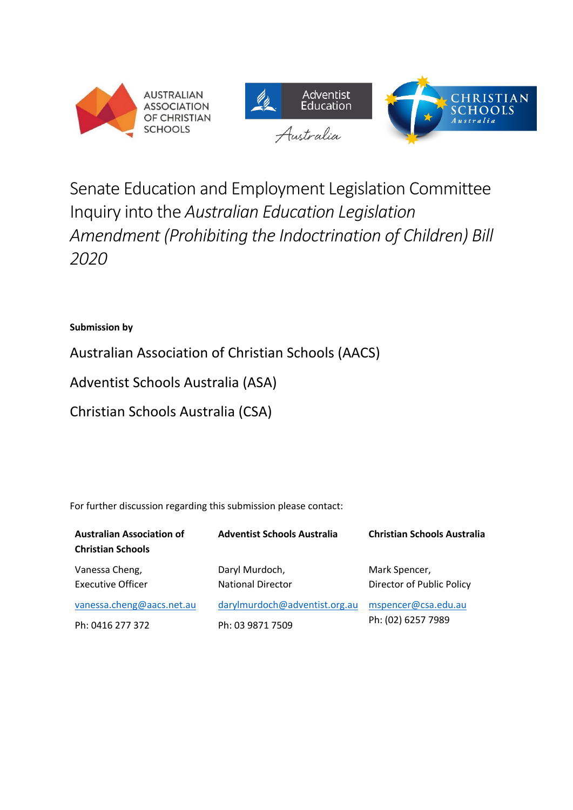



# Senate Education and Employment Legislation Committee Inquiry into the *Australian Education Legislation Amendment (Prohibiting the Indoctrination of Children) Bill 2020*

#### **Submission by**

Australian Association of Christian Schools (AACS)

Adventist Schools Australia (ASA)

Christian Schools Australia (CSA)

For further discussion regarding this submission please contact:

| <b>Australian Association of</b><br><b>Christian Schools</b> | <b>Adventist Schools Australia</b>         | <b>Christian Schools Australia</b>         |
|--------------------------------------------------------------|--------------------------------------------|--------------------------------------------|
| Vanessa Cheng,<br><b>Executive Officer</b>                   | Daryl Murdoch,<br><b>National Director</b> | Mark Spencer,<br>Director of Public Policy |
| vanessa.cheng@aacs.net.au                                    | darylmurdoch@adventist.org.au              | mspencer@csa.edu.au<br>Ph: (02) 6257 7989  |
| Ph: 0416 277 372                                             | Ph: 03 9871 7509                           |                                            |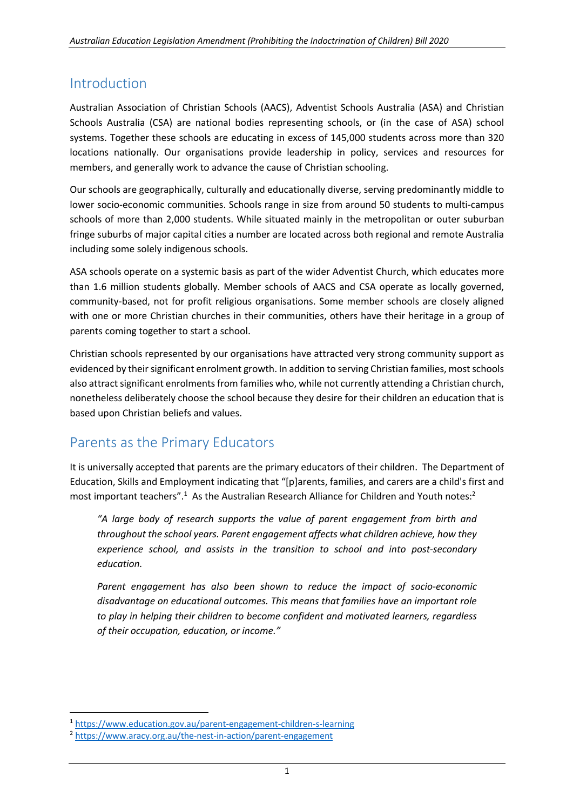## Introduction

Australian Association of Christian Schools (AACS), Adventist Schools Australia (ASA) and Christian Schools Australia (CSA) are national bodies representing schools, or (in the case of ASA) school systems. Together these schools are educating in excess of 145,000 students across more than 320 locations nationally. Our organisations provide leadership in policy, services and resources for members, and generally work to advance the cause of Christian schooling.

Our schools are geographically, culturally and educationally diverse, serving predominantly middle to lower socio-economic communities. Schools range in size from around 50 students to multi-campus schools of more than 2,000 students. While situated mainly in the metropolitan or outer suburban fringe suburbs of major capital cities a number are located across both regional and remote Australia including some solely indigenous schools.

ASA schools operate on a systemic basis as part of the wider Adventist Church, which educates more than 1.6 million students globally. Member schools of AACS and CSA operate as locally governed, community-based, not for profit religious organisations. Some member schools are closely aligned with one or more Christian churches in their communities, others have their heritage in a group of parents coming together to start a school.

Christian schools represented by our organisations have attracted very strong community support as evidenced by their significant enrolment growth. In addition to serving Christian families, most schools also attract significant enrolments from families who, while not currently attending a Christian church, nonetheless deliberately choose the school because they desire for their children an education that is based upon Christian beliefs and values.

# Parents as the Primary Educators

It is universally accepted that parents are the primary educators of their children. The Department of Education, Skills and Employment indicating that "[p]arents, families, and carers are a child's first and most important teachers".<sup>1</sup> As the Australian Research Alliance for Children and Youth notes:<sup>2</sup>

*"A large body of research supports the value of parent engagement from birth and throughout the school years. Parent engagement affects what children achieve, how they experience school, and assists in the transition to school and into post-secondary education.*

*Parent engagement has also been shown to reduce the impact of socio-economic disadvantage on educational outcomes. This means that families have an important role to play in helping their children to become confident and motivated learners, regardless of their occupation, education, or income."*

<sup>1</sup> https://www.education.gov.au/parent-engagement-children-s-learning

<sup>2</sup> https://www.aracy.org.au/the-nest-in-action/parent-engagement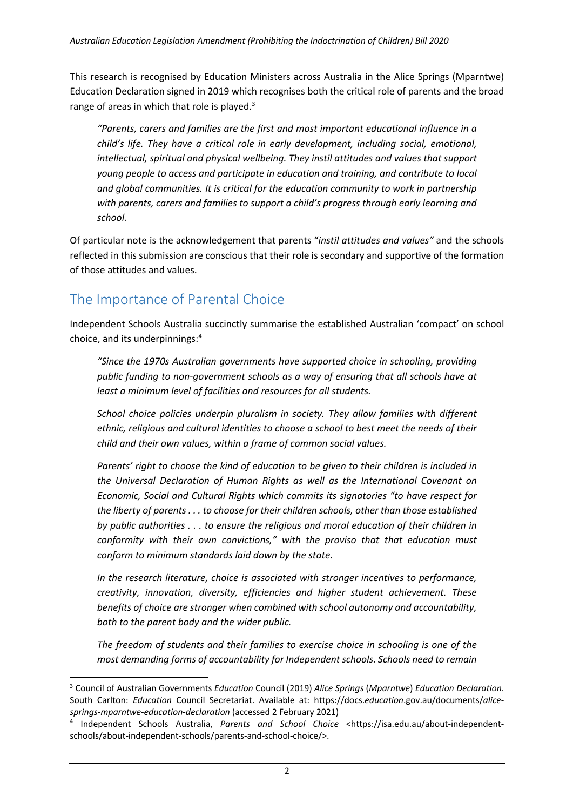This research is recognised by Education Ministers across Australia in the Alice Springs (Mparntwe) Education Declaration signed in 2019 which recognises both the critical role of parents and the broad range of areas in which that role is played.<sup>3</sup>

*"Parents, carers and families are the first and most important educational influence in a child's life. They have a critical role in early development, including social, emotional, intellectual, spiritual and physical wellbeing. They instil attitudes and values that support young people to access and participate in education and training, and contribute to local and global communities. It is critical for the education community to work in partnership with parents, carers and families to support a child's progress through early learning and school.*

Of particular note is the acknowledgement that parents "*instil attitudes and values"* and the schools reflected in this submission are conscious that their role is secondary and supportive of the formation of those attitudes and values.

# The Importance of Parental Choice

Independent Schools Australia succinctly summarise the established Australian 'compact' on school choice, and its underpinnings:4

*"Since the 1970s Australian governments have supported choice in schooling, providing public funding to non-government schools as a way of ensuring that all schools have at least a minimum level of facilities and resources for all students.*

*School choice policies underpin pluralism in society. They allow families with different ethnic, religious and cultural identities to choose a school to best meet the needs of their child and their own values, within a frame of common social values.*

*Parents' right to choose the kind of education to be given to their children is included in the Universal Declaration of Human Rights as well as the International Covenant on Economic, Social and Cultural Rights which commits its signatories "to have respect for the liberty of parents . . . to choose for their children schools, other than those established by public authorities . . . to ensure the religious and moral education of their children in conformity with their own convictions," with the proviso that that education must conform to minimum standards laid down by the state.*

*In the research literature, choice is associated with stronger incentives to performance, creativity, innovation, diversity, efficiencies and higher student achievement. These benefits of choice are stronger when combined with school autonomy and accountability, both to the parent body and the wider public.*

*The freedom of students and their families to exercise choice in schooling is one of the most demanding forms of accountability for Independent schools. Schools need to remain* 

<sup>3</sup> Council of Australian Governments *Education* Council (2019) *Alice Springs* (*Mparntwe*) *Education Declaration*. South Carlton: *Education* Council Secretariat. Available at: https://docs.*education*.gov.au/documents/*alicesprings*-*mparntwe*-*education*-*declaration* (accessed 2 February 2021)

<sup>4</sup> Independent Schools Australia, *Parents and School Choice* <https://isa.edu.au/about-independentschools/about-independent-schools/parents-and-school-choice/>.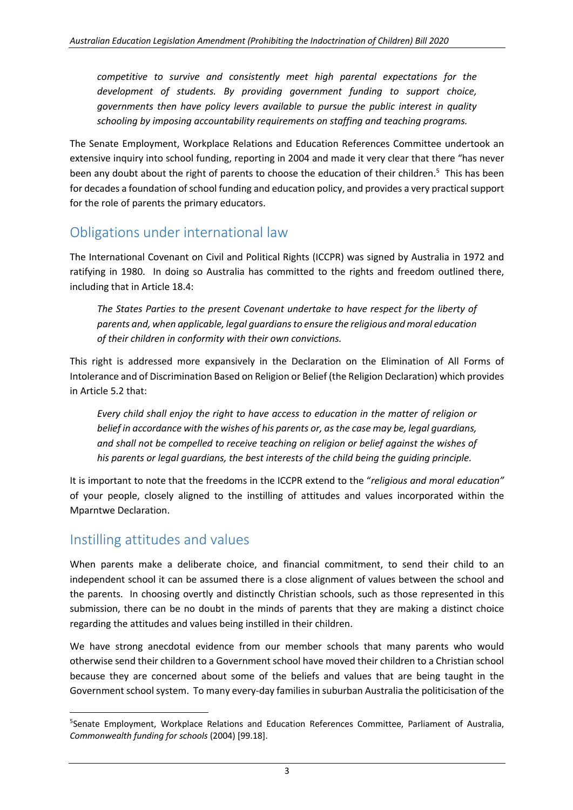*competitive to survive and consistently meet high parental expectations for the development of students. By providing government funding to support choice, governments then have policy levers available to pursue the public interest in quality schooling by imposing accountability requirements on staffing and teaching programs.*

The Senate Employment, Workplace Relations and Education References Committee undertook an extensive inquiry into school funding, reporting in 2004 and made it very clear that there "has never been any doubt about the right of parents to choose the education of their children.<sup>5</sup> This has been for decades a foundation of school funding and education policy, and provides a very practical support for the role of parents the primary educators.

# Obligations under international law

The International Covenant on Civil and Political Rights (ICCPR) was signed by Australia in 1972 and ratifying in 1980. In doing so Australia has committed to the rights and freedom outlined there, including that in Article 18.4:

*The States Parties to the present Covenant undertake to have respect for the liberty of parents and, when applicable, legal guardians to ensure the religious and moral education of their children in conformity with their own convictions.*

This right is addressed more expansively in the Declaration on the Elimination of All Forms of Intolerance and of Discrimination Based on Religion or Belief (the Religion Declaration) which provides in Article 5.2 that:

*Every child shall enjoy the right to have access to education in the matter of religion or belief in accordance with the wishes of his parents or, as the case may be, legal guardians, and shall not be compelled to receive teaching on religion or belief against the wishes of his parents or legal guardians, the best interests of the child being the guiding principle.*

It is important to note that the freedoms in the ICCPR extend to the "*religious and moral education"* of your people, closely aligned to the instilling of attitudes and values incorporated within the Mparntwe Declaration.

## Instilling attitudes and values

When parents make a deliberate choice, and financial commitment, to send their child to an independent school it can be assumed there is a close alignment of values between the school and the parents. In choosing overtly and distinctly Christian schools, such as those represented in this submission, there can be no doubt in the minds of parents that they are making a distinct choice regarding the attitudes and values being instilled in their children.

We have strong anecdotal evidence from our member schools that many parents who would otherwise send their children to a Government school have moved their children to a Christian school because they are concerned about some of the beliefs and values that are being taught in the Government school system. To many every-day families in suburban Australia the politicisation of the

<sup>&</sup>lt;sup>5</sup>Senate Employment, Workplace Relations and Education References Committee, Parliament of Australia, *Commonwealth funding for schools* (2004) [99.18].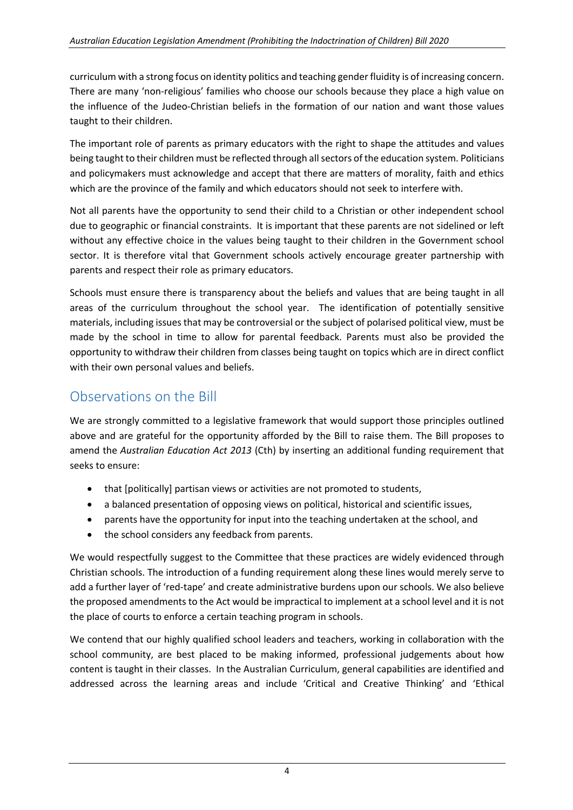curriculum with a strong focus on identity politics and teaching gender fluidity is of increasing concern. There are many 'non-religious' families who choose our schools because they place a high value on the influence of the Judeo-Christian beliefs in the formation of our nation and want those values taught to their children.

The important role of parents as primary educators with the right to shape the attitudes and values being taught to their children must be reflected through all sectors of the education system. Politicians and policymakers must acknowledge and accept that there are matters of morality, faith and ethics which are the province of the family and which educators should not seek to interfere with.

Not all parents have the opportunity to send their child to a Christian or other independent school due to geographic or financial constraints. It is important that these parents are not sidelined or left without any effective choice in the values being taught to their children in the Government school sector. It is therefore vital that Government schools actively encourage greater partnership with parents and respect their role as primary educators.

Schools must ensure there is transparency about the beliefs and values that are being taught in all areas of the curriculum throughout the school year. The identification of potentially sensitive materials, including issues that may be controversial or the subject of polarised political view, must be made by the school in time to allow for parental feedback. Parents must also be provided the opportunity to withdraw their children from classes being taught on topics which are in direct conflict with their own personal values and beliefs.

### Observations on the Bill

We are strongly committed to a legislative framework that would support those principles outlined above and are grateful for the opportunity afforded by the Bill to raise them. The Bill proposes to amend the *Australian Education Act 2013* (Cth) by inserting an additional funding requirement that seeks to ensure:

- that [politically] partisan views or activities are not promoted to students,
- a balanced presentation of opposing views on political, historical and scientific issues,
- parents have the opportunity for input into the teaching undertaken at the school, and
- the school considers any feedback from parents.

We would respectfully suggest to the Committee that these practices are widely evidenced through Christian schools. The introduction of a funding requirement along these lines would merely serve to add a further layer of 'red-tape' and create administrative burdens upon our schools. We also believe the proposed amendments to the Act would be impractical to implement at a school level and it is not the place of courts to enforce a certain teaching program in schools.

We contend that our highly qualified school leaders and teachers, working in collaboration with the school community, are best placed to be making informed, professional judgements about how content is taught in their classes. In the Australian Curriculum, general capabilities are identified and addressed across the learning areas and include 'Critical and Creative Thinking' and 'Ethical